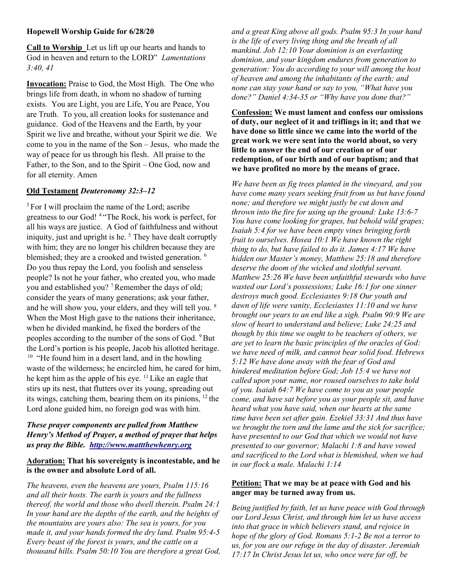#### Hopewell Worship Guide for 6/28/20

Call to Worship Let us lift up our hearts and hands to God in heaven and return to the LORD" Lamentations 3:40, 41

Invocation: Praise to God, the Most High. The One who brings life from death, in whom no shadow of turning exists. You are Light, you are Life, You are Peace, You are Truth. To you, all creation looks for sustenance and guidance. God of the Heavens and the Earth, by your Spirit we live and breathe, without your Spirit we die. We come to you in the name of the Son – Jesus, who made the way of peace for us through his flesh. All praise to the Father, to the Son, and to the Spirit – One God, now and for all eternity. Amen

## Old Testament Deuteronomy 32:3–12

<sup>3</sup> For I will proclaim the name of the Lord; ascribe greatness to our God! <sup>4</sup>"The Rock, his work is perfect, for all his ways are justice. A God of faithfulness and without iniquity, just and upright is he.  $<sup>5</sup>$  They have dealt corruptly</sup> with him; they are no longer his children because they are blemished; they are a crooked and twisted generation. <sup>6</sup> Do you thus repay the Lord, you foolish and senseless people? Is not he your father, who created you, who made you and established you? <sup>7</sup>Remember the days of old; consider the years of many generations; ask your father, and he will show you, your elders, and they will tell you. <sup>8</sup> When the Most High gave to the nations their inheritance, when he divided mankind, he fixed the borders of the peoples according to the number of the sons of God. <sup>9</sup>But the Lord's portion is his people, Jacob his allotted heritage.  $10$  "He found him in a desert land, and in the howling waste of the wilderness; he encircled him, he cared for him, he kept him as the apple of his eye.  $11$  Like an eagle that stirs up its nest, that flutters over its young, spreading out its wings, catching them, bearing them on its pinions,  $12$  the Lord alone guided him, no foreign god was with him.

## These prayer components are pulled from Matthew Henry's Method of Prayer, a method of prayer that helps us pray the Bible. http://www.mattthewhenry.org

## Adoration: That his sovereignty is incontestable, and he is the owner and absolute Lord of all.

The heavens, even the heavens are yours, Psalm 115:16 and all their hosts. The earth is yours and the fullness thereof, the world and those who dwell therein. Psalm 24:1 In your hand are the depths of the earth, and the heights of the mountains are yours also: The sea is yours, for you made it, and your hands formed the dry land. Psalm 95:4-5 Every beast of the forest is yours, and the cattle on a thousand hills. Psalm 50:10 You are therefore a great God, and a great King above all gods. Psalm 95:3 In your hand is the life of every living thing and the breath of all mankind. Job 12:10 Your dominion is an everlasting dominion, and your kingdom endures from generation to generation: You do according to your will among the host of heaven and among the inhabitants of the earth; and none can stay your hand or say to you, "What have you done?" Daniel 4:34-35 or "Why have you done that?"

Confession: We must lament and confess our omissions of duty, our neglect of it and triflings in it; and that we have done so little since we came into the world of the great work we were sent into the world about, so very little to answer the end of our creation or of our redemption, of our birth and of our baptism; and that we have profited no more by the means of grace.

We have been as fig trees planted in the vineyard, and you have come many years seeking fruit from us but have found none; and therefore we might justly be cut down and thrown into the fire for using up the ground: Luke 13:6-7 You have come looking for grapes, but behold wild grapes; Isaiah 5:4 for we have been empty vines bringing forth fruit to ourselves. Hosea 10:1 We have known the right thing to do, but have failed to do it. James 4:17 We have hidden our Master's money, Matthew 25:18 and therefore deserve the doom of the wicked and slothful servant. Matthew 25:26 We have been unfaithful stewards who have wasted our Lord's possessions; Luke 16:1 for one sinner destroys much good. Ecclesiastes 9:18 Our youth and dawn of life were vanity, Ecclesiastes 11:10 and we have brought our years to an end like a sigh. Psalm 90:9 We are slow of heart to understand and believe; Luke 24:25 and though by this time we ought to be teachers of others, we are yet to learn the basic principles of the oracles of God: we have need of milk, and cannot bear solid food. Hebrews 5:12 We have done away with the fear of God and hindered meditation before God; Job 15:4 we have not called upon your name, nor roused ourselves to take hold of you. Isaiah 64:7 We have come to you as your people come, and have sat before you as your people sit, and have heard what you have said, when our hearts at the same time have been set after gain. Ezekiel 33:31 And thus have we brought the torn and the lame and the sick for sacrifice; have presented to our God that which we would not have presented to our governor; Malachi 1:8 and have vowed and sacrificed to the Lord what is blemished, when we had in our flock a male. Malachi 1:14

### Petition: That we may be at peace with God and his anger may be turned away from us.

Being justified by faith, let us have peace with God through our Lord Jesus Christ, and through him let us have access into that grace in which believers stand, and rejoice in hope of the glory of God. Romans 5:1-2 Be not a terror to us, for you are our refuge in the day of disaster. Jeremiah 17:17 In Christ Jesus let us, who once were far off, be